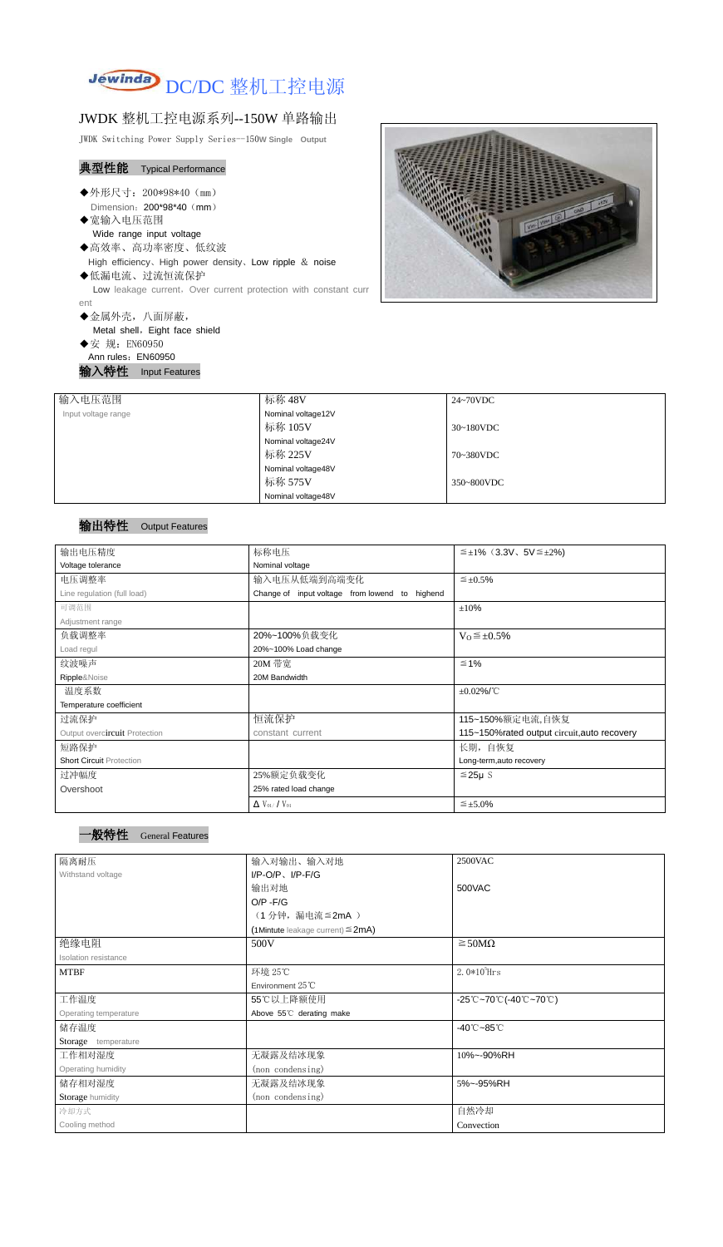

# JWDK 整机工控电源系列--150W 单路输出

JWDK Switching Power Supply Series--150**W Single Output**

- ◆外形尺寸: 200\*98\*40 (mm) Dimension: 200\*98\*40 (mm)
- ◆宽输入电压范围

- ◆高效率、高功率密度、低纹波
- High efficiency、High power density、Low ripple & noise ◆低漏电流、过流恒流保护 Low leakage current, Over current protection with constant curr

### 典型性能 Typical Performance

Wide range input voltage

ent

◆金属外壳,八面屏蔽,

Metal shell, Eight face shield

◆安 规: EN60950 Ann rules: EN60950

输入特性 Input Features

| <b>GENER</b> |
|--------------|
|              |

| 输入电压范围              | 标称 48V             | 24~70VDC   |
|---------------------|--------------------|------------|
| Input voltage range | Nominal voltage12V |            |
|                     | 标称 105V            | 30~180VDC  |
|                     | Nominal voltage24V |            |
|                     | 标称 225V            | 70~380VDC  |
|                     | Nominal voltage48V |            |
|                     | 标称 575V            | 350~800VDC |
|                     | Nominal voltage48V |            |

### 输出特性 Output Features

#### 一般特性 General Features

| 输出电压精度                          | 标称电压                                           | $\leq \pm 1\%$ (3.3V, 5V $\leq \pm 2\%$ )    |  |
|---------------------------------|------------------------------------------------|----------------------------------------------|--|
| Voltage tolerance               | Nominal voltage                                |                                              |  |
| 电压调整率                           | 输入电压从低端到高端变化                                   | $\leq \pm 0.5\%$                             |  |
| Line regulation (full load)     | Change of input voltage from lowend to highend |                                              |  |
| 可调范围                            |                                                | ±10%                                         |  |
| Adjustment range                |                                                |                                              |  |
| 负载调整率                           | 20%~100%负载变化                                   | $V_0 \leq \pm 0.5\%$                         |  |
| Load regul                      | 20%~100% Load change                           |                                              |  |
| 纹波噪声                            | 20M 带宽                                         | $\leq 1\%$                                   |  |
| Ripple&Noise                    | 20M Bandwidth                                  |                                              |  |
| 温度系数                            |                                                | $\pm 0.02\%$ /°C                             |  |
| Temperature coefficient         |                                                |                                              |  |
| 过流保护                            | 恒流保护                                           | 115~150%额定电流,自恢复                             |  |
| Output overcircuit Protection   | constant current                               | 115~150% rated output circuit, auto recovery |  |
| 短路保护                            |                                                | 长期, 自恢复                                      |  |
| <b>Short Circuit Protection</b> |                                                | Long-term, auto recovery                     |  |
| 过冲幅度                            | 25%额定负载变化                                      | $≤25\mu$ S                                   |  |
| Overshoot                       | 25% rated load change                          |                                              |  |
|                                 | $\Delta$ V <sub>01</sub> /V <sub>01</sub>      | $\leq \pm 5.0\%$                             |  |

| 隔离耐压                  | 输入对输出、输入对地<br>2500VAC                  |                                                                               |  |
|-----------------------|----------------------------------------|-------------------------------------------------------------------------------|--|
| Withstand voltage     | $I/P-O/P$ , $I/P-F/G$                  |                                                                               |  |
|                       | 输出对地                                   | 500VAC                                                                        |  |
|                       | $O/P - F/G$                            |                                                                               |  |
|                       | (1分钟,漏电流≦2mA)                          |                                                                               |  |
|                       | (1Mintute leakage current) $\leq$ 2mA) |                                                                               |  |
| 绝缘电阻                  | 500V<br>$\geq$ 50M $\Omega$            |                                                                               |  |
| Isolation resistance  |                                        |                                                                               |  |
| <b>MTBF</b>           | 环境 25℃                                 | $2.0*10^5$ Hrs                                                                |  |
|                       | Environment 25°C                       |                                                                               |  |
| 工作温度                  | 55℃以上降额使用                              | $-25^{\circ}\text{C}-70^{\circ}\text{C}$ (-40 $\text{C}-70^{\circ}\text{C}$ ) |  |
| Operating temperature | Above 55°C derating make               |                                                                               |  |
| 储存温度                  |                                        | $-40^{\circ}$ C $-85^{\circ}$ C                                               |  |
| Storage temperature   |                                        |                                                                               |  |
| 工作相对湿度                | 无凝露及结冰现象                               | 10%~-90%RH                                                                    |  |
| Operating humidity    | (non condensing)                       |                                                                               |  |
| 储存相对湿度                | 无凝露及结冰现象                               | 5%~-95%RH                                                                     |  |
| Storage humidity      | (non condensing)                       |                                                                               |  |
| 冷却方式                  |                                        | 自然冷却                                                                          |  |
| Cooling method        |                                        | Convection                                                                    |  |